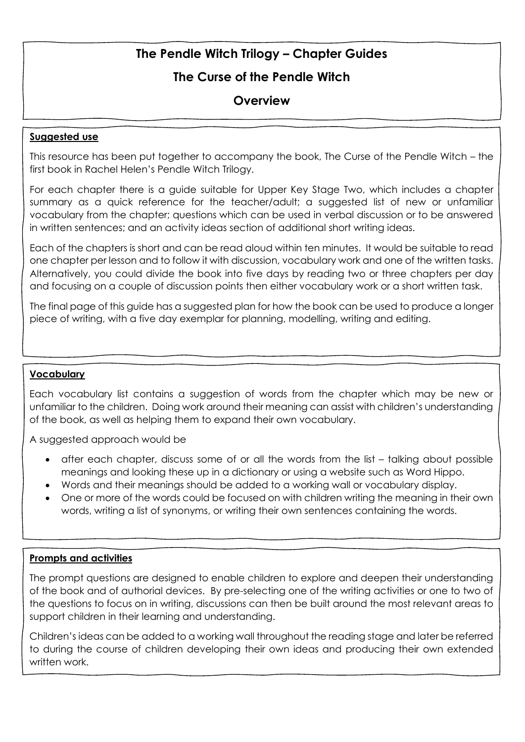### **The Curse of the Pendle Witch**

## **Overview**

### **Suggested use**

This resource has been put together to accompany the book, The Curse of the Pendle Witch – the first book in Rachel Helen's Pendle Witch Trilogy.

For each chapter there is a guide suitable for Upper Key Stage Two, which includes a chapter summary as a quick reference for the teacher/adult; a suggested list of new or unfamiliar vocabulary from the chapter; questions which can be used in verbal discussion or to be answered in written sentences; and an activity ideas section of additional short writing ideas.

Each of the chapters is short and can be read aloud within ten minutes. It would be suitable to read one chapter per lesson and to follow it with discussion, vocabulary work and one of the written tasks. Alternatively, you could divide the book into five days by reading two or three chapters per day and focusing on a couple of discussion points then either vocabulary work or a short written task.

The final page of this guide has a suggested plan for how the book can be used to produce a longer piece of writing, with a five day exemplar for planning, modelling, writing and editing.

### **Vocabulary**

Each vocabulary list contains a suggestion of words from the chapter which may be new or unfamiliar to the children. Doing work around their meaning can assist with children's understanding of the book, as well as helping them to expand their own vocabulary.

A suggested approach would be

- after each chapter, discuss some of or all the words from the list talking about possible meanings and looking these up in a dictionary or using a website such as Word Hippo.
- Words and their meanings should be added to a working wall or vocabulary display.
- One or more of the words could be focused on with children writing the meaning in their own words, writing a list of synonyms, or writing their own sentences containing the words.

### **Prompts and activities**

The prompt questions are designed to enable children to explore and deepen their understanding of the book and of authorial devices. By pre-selecting one of the writing activities or one to two of the questions to focus on in writing, discussions can then be built around the most relevant areas to support children in their learning and understanding.

Children's ideas can be added to a working wall throughout the reading stage and later be referred to during the course of children developing their own ideas and producing their own extended written work.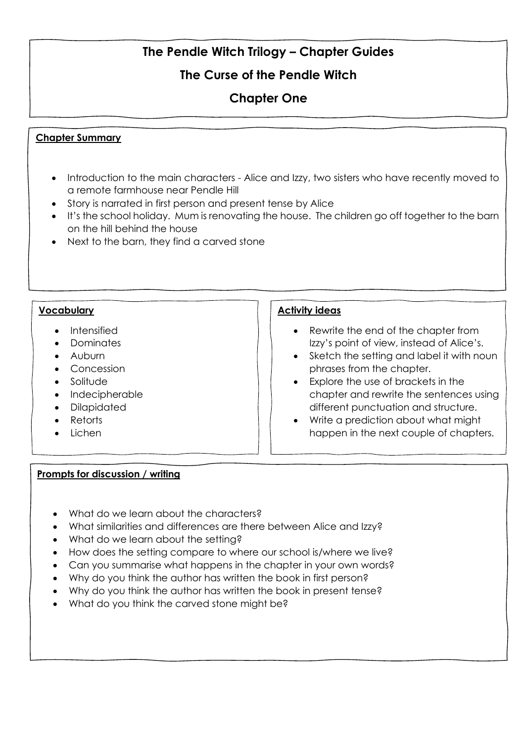### **The Curse of the Pendle Witch**

# **Chapter One**

### **Chapter Summary**

- Introduction to the main characters Alice and Izzy, two sisters who have recently moved to a remote farmhouse near Pendle Hill
- Story is narrated in first person and present tense by Alice
- It's the school holiday. Mum is renovating the house. The children go off together to the barn on the hill behind the house
- Next to the barn, they find a carved stone

#### **Vocabulary**

- Intensified
- Dominates
- Auburn
- Concession
- Solitude
- Indecipherable
- Dilapidated
- Retorts
- Lichen

### **Prompts for discussion / writing**

### **Activity ideas**

- Rewrite the end of the chapter from Izzy's point of view, instead of Alice's.
- Sketch the setting and label it with noun phrases from the chapter.
- Explore the use of brackets in the chapter and rewrite the sentences using different punctuation and structure.
- Write a prediction about what might happen in the next couple of chapters.

- What do we learn about the characters?
- What similarities and differences are there between Alice and Izzy?
- What do we learn about the setting?
- How does the setting compare to where our school is/where we live?
- Can you summarise what happens in the chapter in your own words?
- Why do you think the author has written the book in first person?
- Why do you think the author has written the book in present tense?
- What do you think the carved stone might be?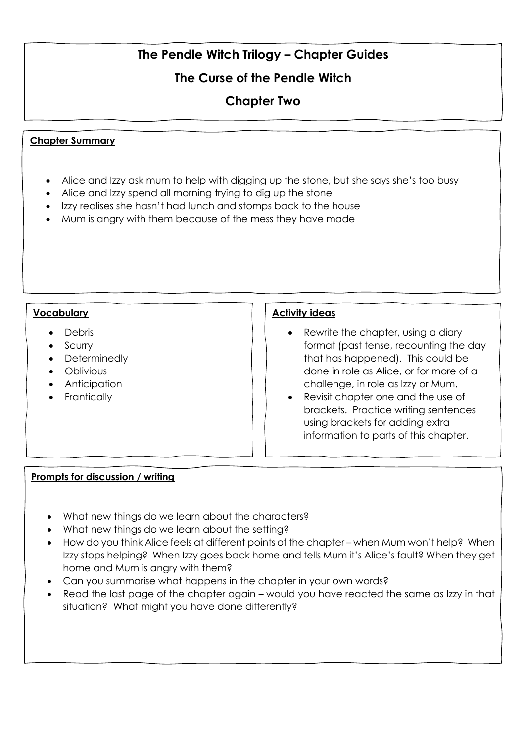## **The Curse of the Pendle Witch**

## **Chapter Two**

### **Chapter Summary**

- Alice and Izzy ask mum to help with digging up the stone, but she says she's too busy
- Alice and Izzy spend all morning trying to dig up the stone
- Izzy realises she hasn't had lunch and stomps back to the house
- Mum is angry with them because of the mess they have made

### **Vocabulary**

- Debris
- Scurry
- Determinedly
- Oblivious
- Anticipation
- Frantically

### **Activity ideas**

- Rewrite the chapter, using a diary format (past tense, recounting the day that has happened). This could be done in role as Alice, or for more of a challenge, in role as Izzy or Mum.
- Revisit chapter one and the use of brackets. Practice writing sentences using brackets for adding extra information to parts of this chapter.

- What new things do we learn about the characters?
- What new things do we learn about the setting?
- How do you think Alice feels at different points of the chapter when Mum won't help? When Izzy stops helping? When Izzy goes back home and tells Mum it's Alice's fault? When they get home and Mum is angry with them?
- Can you summarise what happens in the chapter in your own words?
- Read the last page of the chapter again would you have reacted the same as Izzy in that situation? What might you have done differently?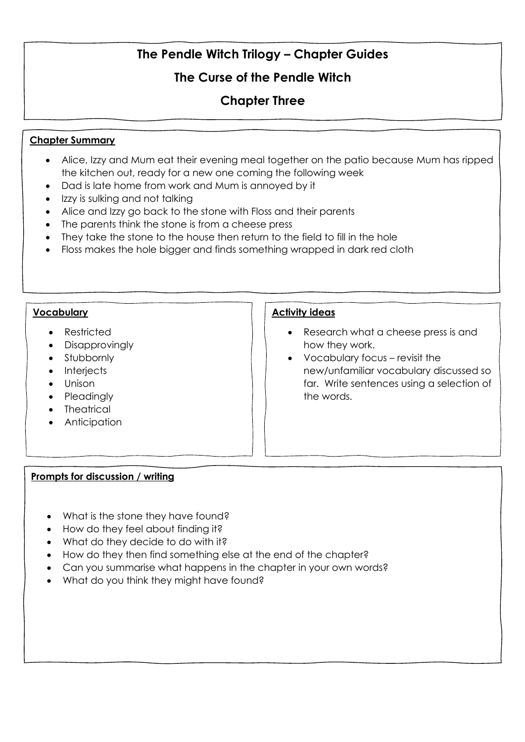## **The Curse of the Pendle Witch**

## **Chapter Three**

### **Chapter Summary**

- Alice, Izzy and Mum eat their evening meal together on the patio because Mum has ripped the kitchen out, ready for a new one coming the following week
- Dad is late home from work and Mum is annoyed by it
- Izzy is sulking and not talking
- Alice and Izzy go back to the stone with Floss and their parents
- The parents think the stone is from a cheese press
- They take the stone to the house then return to the field to fill in the hole
- Floss makes the hole bigger and finds something wrapped in dark red cloth

### **Vocabulary**

- Restricted
- Disapprovingly
- Stubbornly
- Interiects
- Unison
- Pleadingly
- Theatrical
- Anticipation

### **Activity ideas**

- Research what a cheese press is and how they work.
- Vocabulary focus revisit the new/unfamiliar vocabulary discussed so far. Write sentences using a selection of the words.

- What is the stone they have found?
- How do they feel about finding it?
- What do they decide to do with it?
- How do they then find something else at the end of the chapter?
- Can you summarise what happens in the chapter in your own words?
- What do you think they might have found?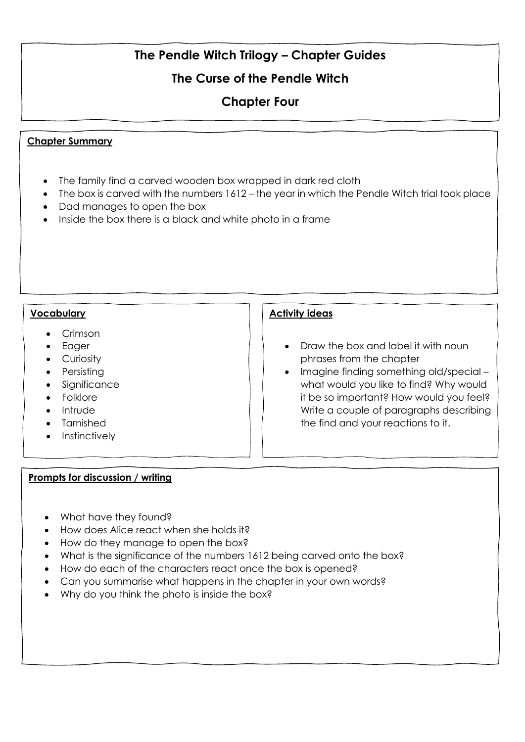## **The Curse of the Pendle Witch**

# **Chapter Four**

### **Chapter Summary**

- The family find a carved wooden box wrapped in dark red cloth
- The box is carved with the numbers 1612 the year in which the Pendle Witch trial took place
- Dad manages to open the box
- Inside the box there is a black and white photo in a frame

### **Vocabulary**

- Crimson
- Eager
- Curiosity
- Persisting
- Significance
- Folklore
- Intrude
- Tarnished
- Instinctively

### **Prompts for discussion / writing**

### **Activity ideas**

- Draw the box and label it with noun phrases from the chapter
- Imagine finding something old/special what would you like to find? Why would it be so important? How would you feel? Write a couple of paragraphs describing the find and your reactions to it.

- What have they found?
- How does Alice react when she holds it?
- How do they manage to open the box?
- What is the significance of the numbers 1612 being carved onto the box?
- How do each of the characters react once the box is opened?
- Can you summarise what happens in the chapter in your own words?
- Why do you think the photo is inside the box?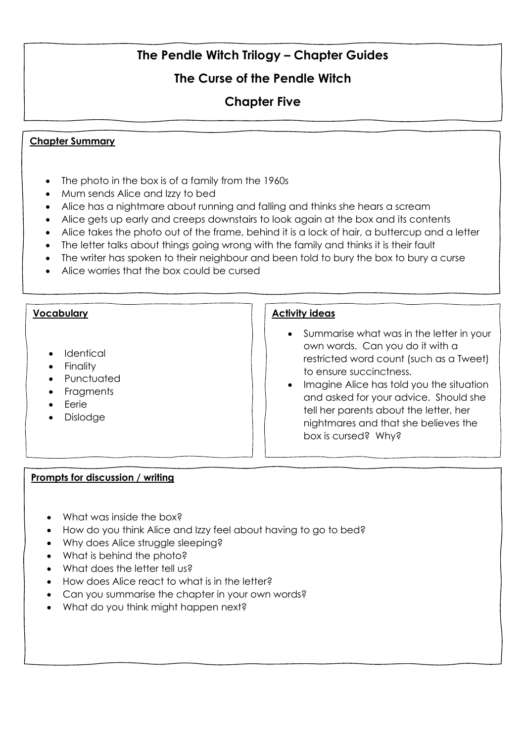## **The Curse of the Pendle Witch**

# **Chapter Five**

### **Chapter Summary**

- The photo in the box is of a family from the 1960s
- Mum sends Alice and Izzy to bed
- Alice has a nightmare about running and falling and thinks she hears a scream
- Alice gets up early and creeps downstairs to look again at the box and its contents
- Alice takes the photo out of the frame, behind it is a lock of hair, a buttercup and a letter
- The letter talks about things going wrong with the family and thinks it is their fault
- The writer has spoken to their neighbour and been told to bury the box to bury a curse
- Alice worries that the box could be cursed

#### **Vocabulary**

- Identical
- Finality
- Punctuated
- Fragments
- Eerie
- Dislodge

#### **Activity ideas**

- Summarise what was in the letter in your own words. Can you do it with a restricted word count (such as a Tweet) to ensure succinctness.
- Imagine Alice has told you the situation and asked for your advice. Should she tell her parents about the letter, her nightmares and that she believes the box is cursed? Why?

- What was inside the box?
- How do you think Alice and Izzy feel about having to go to bed?
- Why does Alice struggle sleeping?
- What is behind the photo?
- What does the letter tell us?
- How does Alice react to what is in the letter?
- Can you summarise the chapter in your own words?
- What do you think might happen next?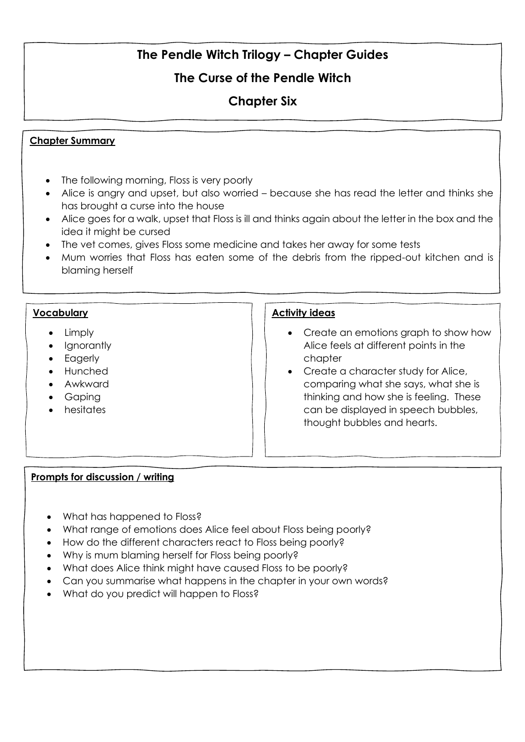### **The Curse of the Pendle Witch**

## **Chapter Six**

### **Chapter Summary**

- The following morning, Floss is very poorly
- Alice is angry and upset, but also worried because she has read the letter and thinks she has brought a curse into the house
- Alice goes for a walk, upset that Floss is ill and thinks again about the letter in the box and the idea it might be cursed
- The vet comes, gives Floss some medicine and takes her away for some tests
- Mum worries that Floss has eaten some of the debris from the ripped-out kitchen and is blaming herself

### **Vocabulary**

- Limply
- Ignorantly
- Eagerly
- Hunched
- Awkward
- Gaping
- hesitates

#### **Activity ideas**

- Create an emotions graph to show how Alice feels at different points in the chapter
- Create a character study for Alice, comparing what she says, what she is thinking and how she is feeling. These can be displayed in speech bubbles, thought bubbles and hearts.

- What has happened to Floss?
- What range of emotions does Alice feel about Floss being poorly?
- How do the different characters react to Floss being poorly?
- Why is mum blaming herself for Floss being poorly?
- What does Alice think might have caused Floss to be poorly?
- Can you summarise what happens in the chapter in your own words?
- What do you predict will happen to Floss?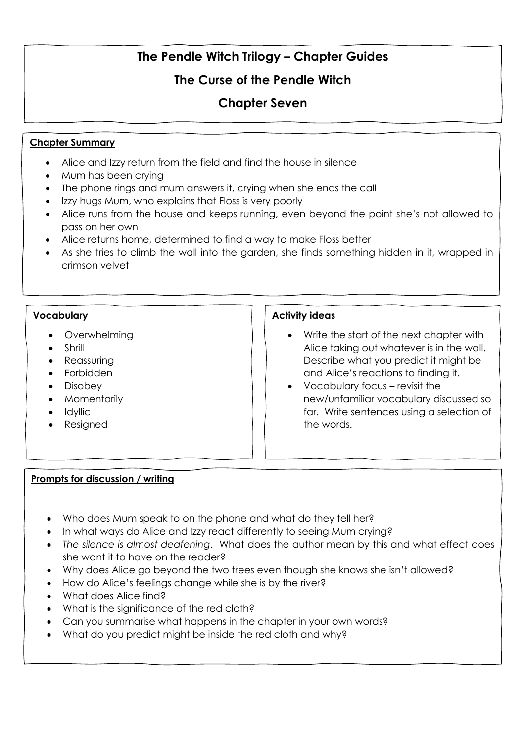## **The Curse of the Pendle Witch**

## **Chapter Seven**

### **Chapter Summary**

- Alice and Izzy return from the field and find the house in silence
- Mum has been crying
- The phone rings and mum answers it, crying when she ends the call
- Izzy hugs Mum, who explains that Floss is very poorly
- Alice runs from the house and keeps running, even beyond the point she's not allowed to pass on her own
- Alice returns home, determined to find a way to make Floss better
- As she tries to climb the wall into the garden, she finds something hidden in it, wrapped in crimson velvet

### **Vocabulary**

- Overwhelming
- Shrill
- Reassuring
- Forbidden
- Disobey
- Momentarily
- Idyllic
- Resigned

### **Activity ideas**

- Write the start of the next chapter with Alice taking out whatever is in the wall. Describe what you predict it might be and Alice's reactions to finding it.
- Vocabulary focus revisit the new/unfamiliar vocabulary discussed so far. Write sentences using a selection of the words.

- Who does Mum speak to on the phone and what do they tell her?
- In what ways do Alice and Izzy react differently to seeing Mum crying?
- *The silence is almost deafening*. What does the author mean by this and what effect does she want it to have on the reader?
- Why does Alice go beyond the two trees even though she knows she isn't allowed?
- How do Alice's feelings change while she is by the river?
- What does Alice find?
- What is the significance of the red cloth?
- Can you summarise what happens in the chapter in your own words?
- What do you predict might be inside the red cloth and why?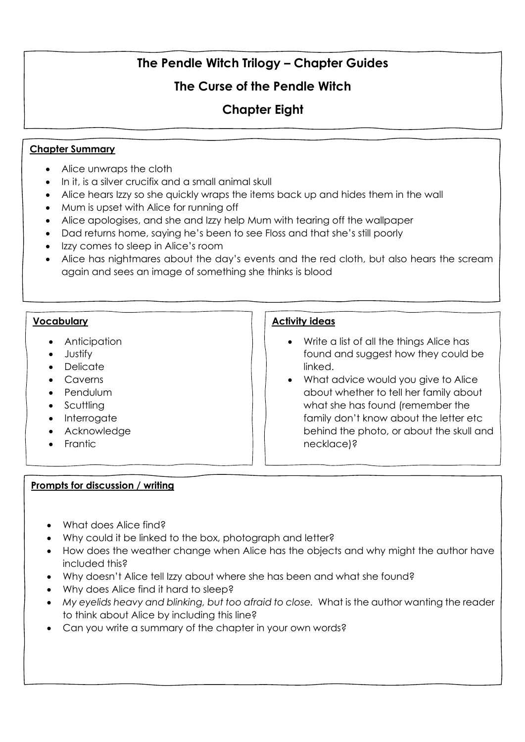## **The Curse of the Pendle Witch**

# **Chapter Eight**

### **Chapter Summary**

- Alice unwraps the cloth
- In it, is a silver crucifix and a small animal skull
- Alice hears Izzy so she quickly wraps the items back up and hides them in the wall
- Mum is upset with Alice for running off
- Alice apologises, and she and Izzy help Mum with tearing off the wallpaper
- Dad returns home, saying he's been to see Floss and that she's still poorly
- Izzy comes to sleep in Alice's room
- Alice has nightmares about the day's events and the red cloth, but also hears the scream again and sees an image of something she thinks is blood

#### **Vocabulary**

- Anticipation
- Justify
- Delicate
- Caverns
- Pendulum
- Scuttling
- Interrogate
- Acknowledge
- Frantic

# **Activity ideas**

- Write a list of all the things Alice has found and suggest how they could be linked.
- What advice would you give to Alice about whether to tell her family about what she has found (remember the family don't know about the letter etc behind the photo, or about the skull and necklace)?

- What does Alice find?
- Why could it be linked to the box, photograph and letter?
- How does the weather change when Alice has the objects and why might the author have included this?
- Why doesn't Alice tell Izzy about where she has been and what she found?
- Why does Alice find it hard to sleep?
- *My eyelids heavy and blinking, but too afraid to close.* What is the author wanting the reader to think about Alice by including this line?
- Can you write a summary of the chapter in your own words?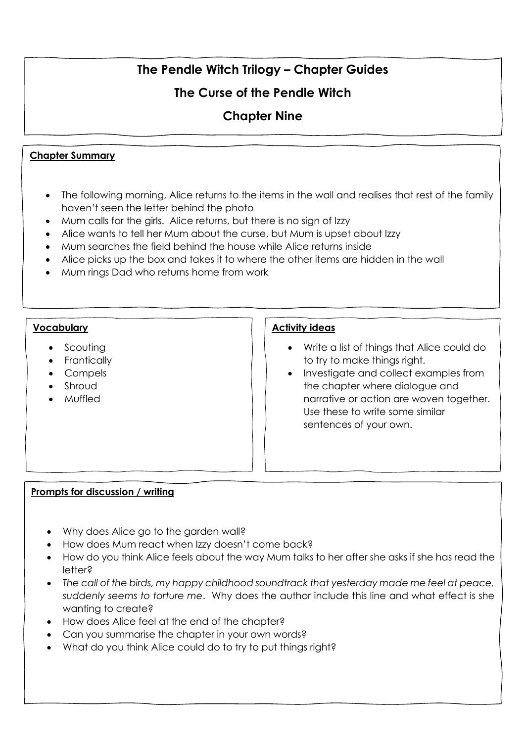# **The Curse of the Pendle Witch**

## **Chapter Nine**

### **Chapter Summary**

- The following morning, Alice returns to the items in the wall and realises that rest of the family haven't seen the letter behind the photo
- Mum calls for the girls. Alice returns, but there is no sign of Izzy
- Alice wants to tell her Mum about the curse, but Mum is upset about Izzy
- Mum searches the field behind the house while Alice returns inside
- Alice picks up the box and takes it to where the other items are hidden in the wall
- Mum rings Dad who returns home from work

### **Vocabulary**

- Scouting
- Frantically
- Compels
- Shroud
- Muffled

### **Activity ideas**

- Write a list of things that Alice could do to try to make things right.
- Investigate and collect examples from the chapter where dialogue and narrative or action are woven together. Use these to write some similar sentences of your own.

- Why does Alice go to the garden wall?
- How does Mum react when Izzy doesn't come back?
- How do you think Alice feels about the way Mum talks to her after she asks if she has read the letter?
- *The call of the birds, my happy childhood soundtrack that yesterday made me feel at peace, suddenly seems to torture me*. Why does the author include this line and what effect is she wanting to create?
- How does Alice feel at the end of the chapter?
- Can you summarise the chapter in your own words?
- What do you think Alice could do to try to put things right?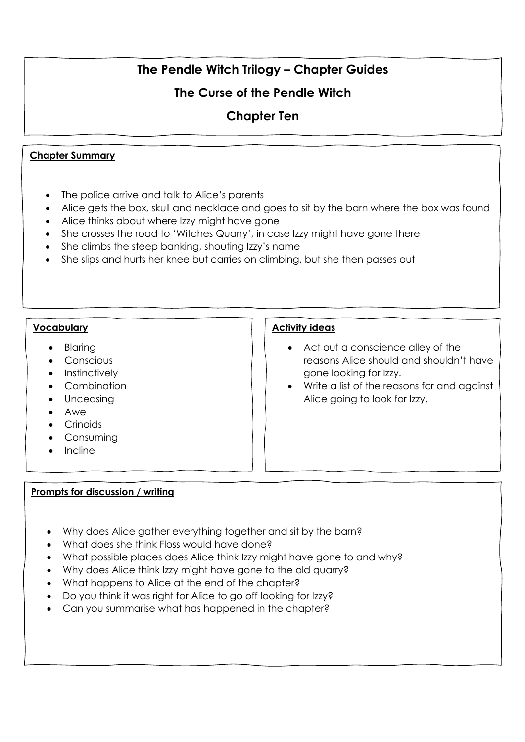# **The Curse of the Pendle Witch**

## **Chapter Ten**

### **Chapter Summary**

- The police arrive and talk to Alice's parents
- Alice gets the box, skull and necklace and goes to sit by the barn where the box was found
- Alice thinks about where Izzy might have gone
- She crosses the road to 'Witches Quarry', in case Izzy might have gone there
- She climbs the steep banking, shouting Izzy's name
- She slips and hurts her knee but carries on climbing, but she then passes out

### **Vocabulary**

- Blaring
- Conscious
- Instinctively
- Combination
- Unceasing
- Awe
- Crinoids
- Consuming
- Incline

# **Activity ideas**

- Act out a conscience alley of the reasons Alice should and shouldn't have gone looking for Izzy.
- Write a list of the reasons for and against Alice going to look for Izzy.

- Why does Alice gather everything together and sit by the barn?
- What does she think Floss would have done?
- What possible places does Alice think Izzy might have gone to and why?
- Why does Alice think Izzy might have gone to the old quarry?
- What happens to Alice at the end of the chapter?
- Do you think it was right for Alice to go off looking for Izzy?
- Can you summarise what has happened in the chapter?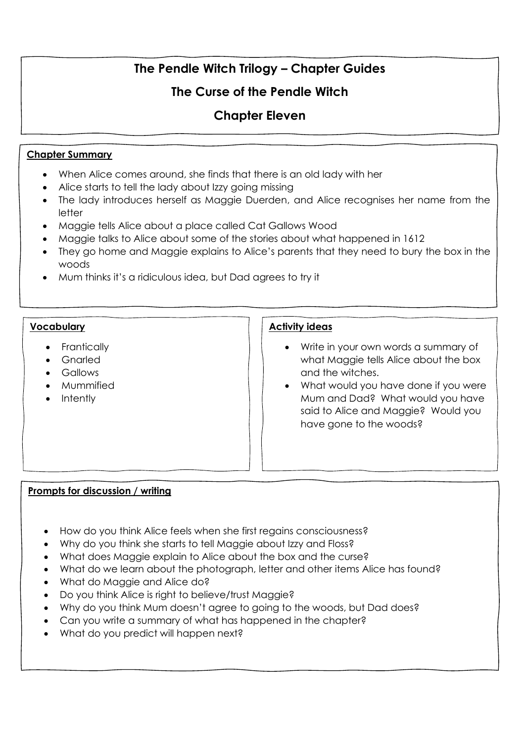# **The Curse of the Pendle Witch**

# **Chapter Eleven**

### **Chapter Summary**

- When Alice comes around, she finds that there is an old lady with her
- Alice starts to tell the lady about Izzy going missing
- The lady introduces herself as Maggie Duerden, and Alice recognises her name from the letter
- Maggie tells Alice about a place called Cat Gallows Wood
- Maggie talks to Alice about some of the stories about what happened in 1612
- They go home and Maggie explains to Alice's parents that they need to bury the box in the woods
- Mum thinks it's a ridiculous idea, but Dad agrees to try it

### **Vocabulary**

- Frantically
- Gnarled
- Gallows
- Mummified
- Intently

### **Activity ideas**

- Write in your own words a summary of what Maggie tells Alice about the box and the witches.
- What would you have done if you were Mum and Dad? What would you have said to Alice and Maggie? Would you have gone to the woods?

- How do you think Alice feels when she first regains consciousness?
- Why do you think she starts to tell Maggie about Izzy and Floss?
- What does Maggie explain to Alice about the box and the curse?
- What do we learn about the photograph, letter and other items Alice has found?
- What do Maggie and Alice do?
- Do you think Alice is right to believe/trust Maggie?
- Why do you think Mum doesn't agree to going to the woods, but Dad does?
- Can you write a summary of what has happened in the chapter?
- What do you predict will happen next?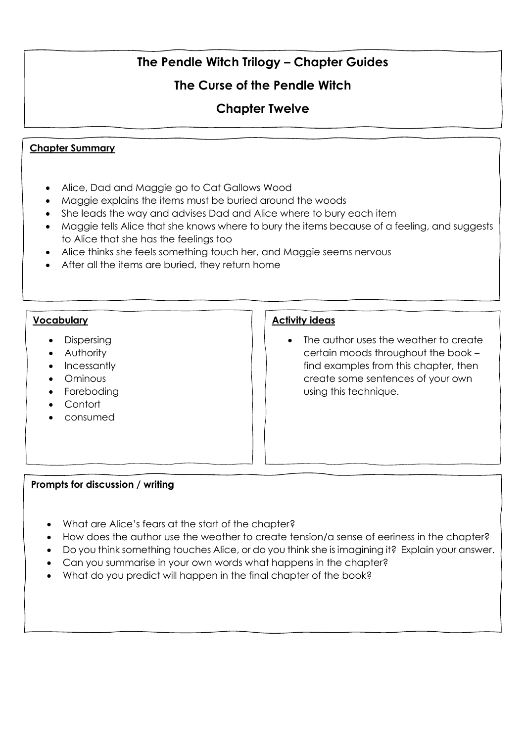### **The Curse of the Pendle Witch**

## **Chapter Twelve**

### **Chapter Summary**

- Alice, Dad and Maggie go to Cat Gallows Wood
- Maggie explains the items must be buried around the woods
- She leads the way and advises Dad and Alice where to bury each item
- Maggie tells Alice that she knows where to bury the items because of a feeling, and suggests to Alice that she has the feelings too
- Alice thinks she feels something touch her, and Maggie seems nervous
- After all the items are buried, they return home

#### **Vocabulary**

- Dispersing
- Authority
- Incessantly
- Ominous
- Foreboding
- Contort
- consumed

#### **Activity ideas**

• The author uses the weather to create certain moods throughout the book – find examples from this chapter, then create some sentences of your own using this technique.

- What are Alice's fears at the start of the chapter?
- How does the author use the weather to create tension/a sense of eeriness in the chapter?
- Do you think something touches Alice, or do you think she is imagining it? Explain your answer.
- Can you summarise in your own words what happens in the chapter?
- What do you predict will happen in the final chapter of the book?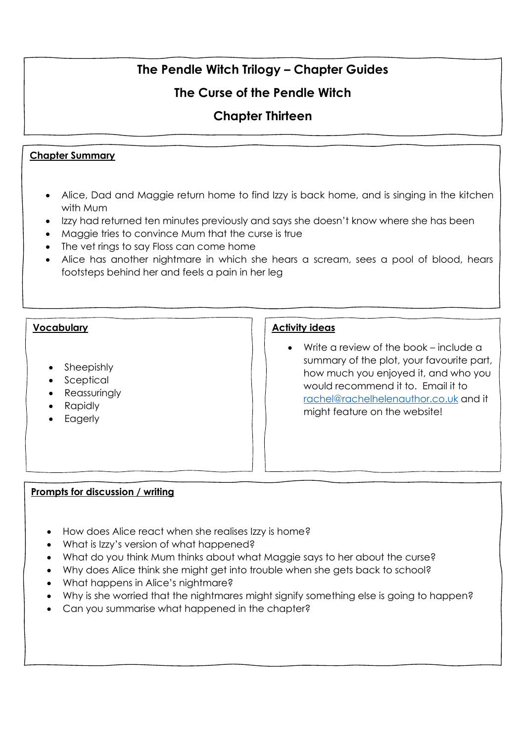# **The Curse of the Pendle Witch**

## **Chapter Thirteen**

### **Chapter Summary**

- Alice, Dad and Maggie return home to find Izzy is back home, and is singing in the kitchen with Mum
- Izzy had returned ten minutes previously and says she doesn't know where she has been
- Maggie tries to convince Mum that the curse is true
- The vet rings to say Floss can come home
- Alice has another nightmare in which she hears a scream, sees a pool of blood, hears footsteps behind her and feels a pain in her leg

### **Vocabulary**

- Sheepishly
- Sceptical
- Reassuringly
- Rapidly
- Eagerly

### **Activity ideas**

• Write a review of the book – include a summary of the plot, your favourite part, how much you enjoyed it, and who you would recommend it to. Email it to [rachel@rachelhelenauthor.co.uk](mailto:rachel@rachelhelenauthor.co.uk) and it might feature on the website!

- How does Alice react when she realises Izzy is home?
- What is Izzy's version of what happened?
- What do you think Mum thinks about what Maggie says to her about the curse?
- Why does Alice think she might get into trouble when she gets back to school?
- What happens in Alice's nightmare?
- Why is she worried that the nightmares might signify something else is going to happen?
- Can you summarise what happened in the chapter?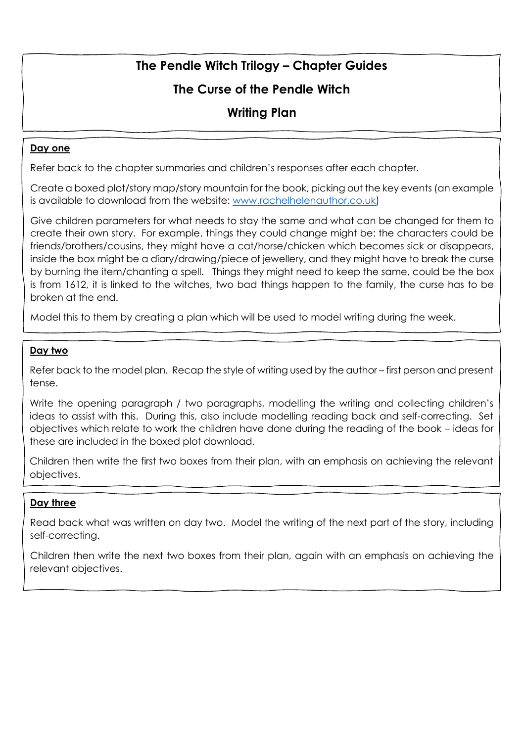## **The Curse of the Pendle Witch**

## **Writing Plan**

### **Day one**

Refer back to the chapter summaries and children's responses after each chapter.

Create a boxed plot/story map/story mountain for the book, picking out the key events (an example is available to download from the website: [www.rachelhelenauthor.co.uk\)](http://www.rachelhelenauthor.co.uk/)

Give children parameters for what needs to stay the same and what can be changed for them to create their own story. For example, things they could change might be: the characters could be friends/brothers/cousins, they might have a cat/horse/chicken which becomes sick or disappears, inside the box might be a diary/drawing/piece of jewellery, and they might have to break the curse by burning the item/chanting a spell. Things they might need to keep the same, could be the box is from 1612, it is linked to the witches, two bad things happen to the family, the curse has to be broken at the end.

Model this to them by creating a plan which will be used to model writing during the week.

### **Day two**

Refer back to the model plan. Recap the style of writing used by the author – first person and present tense.

Write the opening paragraph / two paragraphs, modelling the writing and collecting children's ideas to assist with this. During this, also include modelling reading back and self-correcting. Set objectives which relate to work the children have done during the reading of the book – ideas for these are included in the boxed plot download.

Children then write the first two boxes from their plan, with an emphasis on achieving the relevant objectives.

### **Day three**

Read back what was written on day two. Model the writing of the next part of the story, including self-correcting.

Children then write the next two boxes from their plan, again with an emphasis on achieving the relevant objectives.